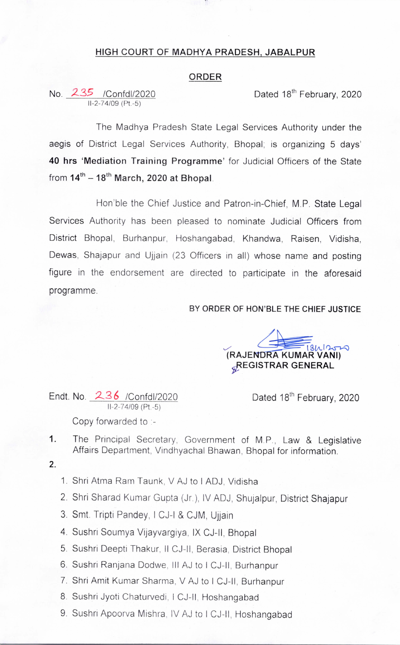## HIGH COURT OF MADHYA PRADESH, JABALPUR

## ORDER

No. Z35 /Confdl/2020 11-2-74/09 (Pt.-5)

Dated 18<sup>th</sup> February, 2020

The Madhya Pradesh State Legal Services Authority under the aegis of District Legal Services Authority, Bhopal; is organizing 5 days' 40 hrs 'Mediation Training Programme' for Judicial Officers of the State from  $14^{th} - 18^{th}$  March, 2020 at Bhopal.

Hon'ble the Chief Justice and Patron-in-Chief, M.P. State Legal Services Authority has been pleased to nominate Judicial Officers from District Bhopal, Burhanpur, Hoshangabad, Khandwa, Raisen, Vidisha, Dewas, Shajapur and Ujjain (23 Officers in all) whose name and posting figure in the endorsement are directed to participate in the aforesaid programme.

## BY ORDER OF HON'BLE THE CHIEF JUSTICE

(RAJENDRA KUMAR VANI) REGISTRAR GENERAL

Endt. No.  $236$  /Confdl/2020 Dated 18<sup>th</sup> February, 2020 11-2-74/09 (Pt.-5)

Copy forvarded to :~

- 1. The Principal Secretary, Government of MP, Law & Legislative Affairs Department, Vindhyachal Bhawan, Bhopal for information.
- 2.
- 1. Shri Atma Ram Taunk, V AJ to I ADJ, Vidisha
- 2. Shri Sharad Kumar Gupta (Jr.), lv ADJ, Shujalpur, District Shajapur
- 3. Smt. Tripti Pandey, I CJ-I & CJM, Ujjain
- 4. Sushri Soumya Vijayvargiya, lx CJ-Il, Bhopal
- 5. Sushri Deepti Thakur, II CJ-II, Berasia, District Bhopal
- 6. Sushri Ranjana Dodwe, III AJ to I CJ-II, Burhanpur
- 7. Shri Amit Kumar Sharma, V AJ to I CJ-lI, Burhanpur
- 8. Sushri Jyoti Chaturvedi, I CJ-II, Hoshangabad
- 9. Sushri Apoorva Mishra, IV AJ to I CJ-II, Hoshangabad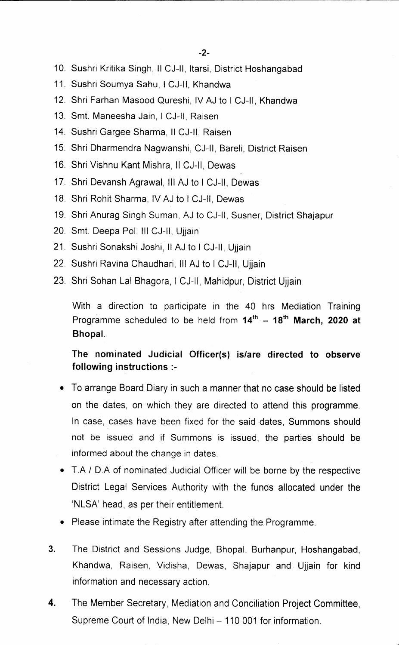- 10. Sushri Kritika Singh,11 CJ-ll, ltarsi, District Hoshangabad
- 11. Sushri Soumya Sahu, I CJ-II, Khandwa
- 12. Shri Farhan Masood Qureshi, lv AJ to I CJ-ll, Khandwa
- 13. Smt. Maneesha Jain, I CJ-II, Raisen
- 14. Sushri Gargee Sharma, Il CJ-II, Raisen
- 15. Shri Dharmendra Nagwanshi, CJ-ll, Bareli, District Raisen
- 16. Shri Vishnu Kant Mishra, II CJ-II, Dewas
- 17. Shri Devansh Agrawal, III AJ to I CJ-II, Dewas
- 18. Shri Rohit Sharma, lv AJ to I CJ-Il, Dewas
- 19. Shri Anurag Singh Suman, AJ to CJ-ll, Susner, District Shajapur
- 20. Smt. Deepa Pol, III CJ-II, Ujjain
- 21. Sushri Sonakshi Joshi, II AJ to I CJ-II, Ujjain
- 22. Sushri Ravina Chaudhari, III AJ to I CJ-II, Ujiain
- 23. Shri Sohan Lal Bhagora, I CJ-II, Mahidpur, District Ujjain

With a direction to participate in the 40 hrs Mediation Training Programme scheduled to be held from  $14^{th}$  - 18<sup>th</sup> March, 2020 at Bhopal,

The nominated Judicial Officer(s) is/are directed to observe following instructions :-

- To arrange Board Diary in such a manner that no case should be listed on the dates, on which they are directed to attend this programme. In case, cases have been fixed for the said dates, Summons should not be issued and if Summons is issued, the parties should be informed about the change in dates.
- T.A / D.A of nominated Judicial Officer will be borne by the respective District Legal Services Authority with the funds allocated under the `NLSA' head, as per their entitlement.
- Please intimate the Registry after attending the Programme.
- 3. The District and Sessions Judge, Bhopal, Burhanpur, Hoshangabad, Khandwa, Raisen, Vidisha, Dewas, Shajapur and Ujjain for kind information and necessary action.
- 4. The Member Secretary, Mediation and Conciliation Project Committee, Supreme Court of India, New Delhi - 110 001 for information.